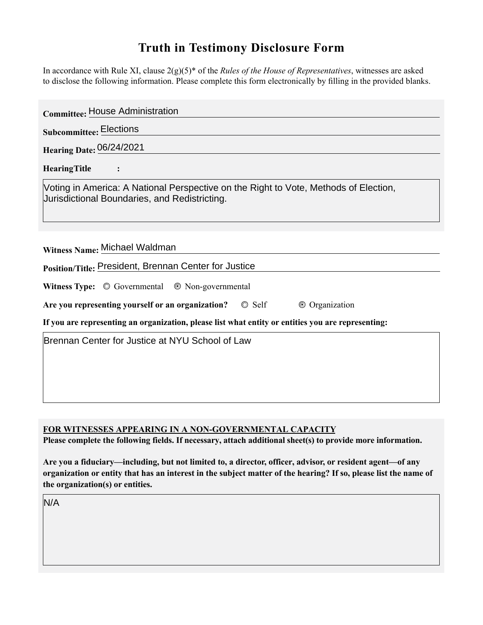## **Truth in Testimony Disclosure Form**

In accordance with Rule XI, clause 2(g)(5)\* of the *Rules of the House of Representatives*, witnesses are asked to disclose the following information. Please complete this form electronically by flling in the provided blanks.

| <b>Committee: House Administration</b>                                                                                                                                                                                                                            |
|-------------------------------------------------------------------------------------------------------------------------------------------------------------------------------------------------------------------------------------------------------------------|
| <b>Subcommittee: Elections</b>                                                                                                                                                                                                                                    |
| <b>Hearing Date: 06/24/2021</b>                                                                                                                                                                                                                                   |
| <b>HearingTitle</b><br>$\ddot{\cdot}$                                                                                                                                                                                                                             |
| Voting in America: A National Perspective on the Right to Vote, Methods of Election,<br>Jurisdictional Boundaries, and Redistricting.                                                                                                                             |
| Witness Name: Michael Waldman                                                                                                                                                                                                                                     |
| Position/Title: President, Brennan Center for Justice                                                                                                                                                                                                             |
| Witness Type: © Governmental © Non-governmental                                                                                                                                                                                                                   |
| Are you representing yourself or an organization?<br>$\circ$ Self<br>© Organization                                                                                                                                                                               |
| If you are representing an organization, please list what entity or entities you are representing:                                                                                                                                                                |
| Brennan Center for Justice at NYU School of Law                                                                                                                                                                                                                   |
|                                                                                                                                                                                                                                                                   |
| <b>FOR WITNESSES APPEARING IN A NON-GOVERNMENTAL CAPACITY</b><br>Please complete the following fields. If necessary, attach additional sheet(s) to provide more information.                                                                                      |
| Are you a fiduciary—including, but not limited to, a director, officer, advisor, or resident agent—of any<br>organization or entity that has an interest in the subject matter of the hearing? If so, please list the name of<br>the organization(s) or entities. |
| N/A                                                                                                                                                                                                                                                               |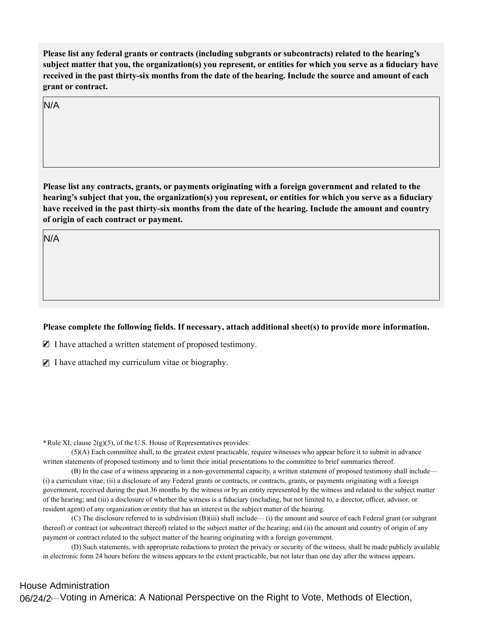**Please list any federal grants or contracts (including subgrants or subcontracts) related to the hearing's subject matter that you, the organization(s) you represent, or entities for which you serve as a fduciary have received in the past thirty-six months from the date of the hearing. Include the source and amount of each grant or contract.** 

N/A

**Please list any contracts, grants or payments originating with a foreign government and related to the hearing's subject that you, the organization(s) you represent, or entities for which you serve as a fduciary have received in the past thirty-six months from the date of the hearing. Include the amount and country of origin of each contract or payment.** 

N/A

## Please complete the following fields. If necessary, attach additional sheet(s) to provide more information.

 $\blacksquare$  I have attached a written statement of proposed testimony.

 $\blacksquare$  I have attached my curriculum vitae or biography.

**\***Rule XI, clause 2(g)(5), of the U.S. House of Representatives provides:

(5)(A) Each committee shall, to the greatest extent practicable, require witnesses who appear before it to submit in advance written statements of proposed testimony and to limit their initial presentations to the committee to brief summaries thereof.

(B) In the case of a witness appearing in a non-governmental capacity, a written statement of proposed testimony shall include— (i) a curriculum vitae; (ii) a disclosure of any Federal grants or contracts, or contracts, grants, or payments originating with a foreign government, received during the past 36 months by the witness or by an entity represented by the witness and related to the subject matter of the hearing; and (iii) a disclosure of whether the witness is a fiduciary (including, but not limited to, a director, officer, advisor, or resident agent) of any organization or entity that has an interest in the subject matter of the hearing.

(C) The disclosure referred to in subdivision (B)(iii) shall include— (i) the amount and source of each Federal grant (or subgrant thereof) or contract (or subcontract thereof) related to the subject matter of the hearing; and (ii) the amount and country of origin of any payment or contract related to the subject matter of the hearing originating with a foreign government.

(D) Such statements, with appropriate redactions to protect the privacy or security of the witness, shall be made publicly available in electronic form 24 hours before the witness appears to the extent practicable, but not later than one day after the witness appears.